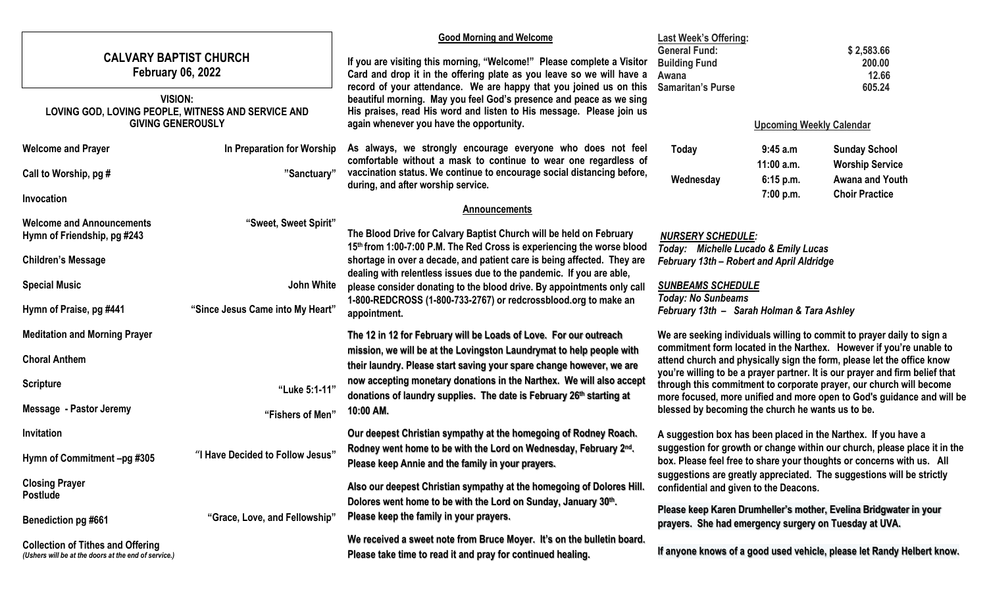| <b>CALVARY BAPTIST CHURCH</b><br><b>February 06, 2022</b><br><b>VISION:</b><br>LOVING GOD, LOVING PEOPLE, WITNESS AND SERVICE AND<br><b>GIVING GENEROUSLY</b> |                                  | <b>Good Morning and Welcome</b><br>If you are visiting this morning, "Welcome!" Please complete a Visitor<br>Card and drop it in the offering plate as you leave so we will have a<br>record of your attendance. We are happy that you joined us on this<br>beautiful morning. May you feel God's presence and peace as we sing<br>His praises, read His word and listen to His message. Please join us<br>again whenever you have the opportunity. | <b>Last Week's Offering:</b><br><b>General Fund:</b><br><b>Building Fund</b><br>Awana<br><b>Samaritan's Purse</b>                                                                                                                                                                                                                                                                                                                   | <b>Upcoming Weekly Calendar</b> | \$2,583.66<br>200.00<br>12.66<br>605.24                                |
|---------------------------------------------------------------------------------------------------------------------------------------------------------------|----------------------------------|-----------------------------------------------------------------------------------------------------------------------------------------------------------------------------------------------------------------------------------------------------------------------------------------------------------------------------------------------------------------------------------------------------------------------------------------------------|-------------------------------------------------------------------------------------------------------------------------------------------------------------------------------------------------------------------------------------------------------------------------------------------------------------------------------------------------------------------------------------------------------------------------------------|---------------------------------|------------------------------------------------------------------------|
| <b>Welcome and Prayer</b>                                                                                                                                     | In Preparation for Worship       | As always, we strongly encourage everyone who does not feel                                                                                                                                                                                                                                                                                                                                                                                         | <b>Today</b>                                                                                                                                                                                                                                                                                                                                                                                                                        | 9:45 a.m                        | <b>Sunday School</b>                                                   |
| Call to Worship, pg #                                                                                                                                         | "Sanctuary"                      | comfortable without a mask to continue to wear one regardless of<br>vaccination status. We continue to encourage social distancing before,<br>during, and after worship service.                                                                                                                                                                                                                                                                    | Wednesday                                                                                                                                                                                                                                                                                                                                                                                                                           | $11:00$ a.m.<br>6:15 p.m.       | <b>Worship Service</b><br>Awana and Youth                              |
| Invocation                                                                                                                                                    |                                  | <b>Announcements</b>                                                                                                                                                                                                                                                                                                                                                                                                                                |                                                                                                                                                                                                                                                                                                                                                                                                                                     | 7:00 p.m.                       | <b>Choir Practice</b>                                                  |
| <b>Welcome and Announcements</b><br>Hymn of Friendship, pg #243                                                                                               | "Sweet, Sweet Spirit"            | The Blood Drive for Calvary Baptist Church will be held on February<br><b>NURSERY SCHEDULE:</b><br>15th from 1:00-7:00 P.M. The Red Cross is experiencing the worse blood<br>Today: Michelle Lucado & Emily Lucas                                                                                                                                                                                                                                   |                                                                                                                                                                                                                                                                                                                                                                                                                                     |                                 |                                                                        |
| <b>Children's Message</b>                                                                                                                                     |                                  | shortage in over a decade, and patient care is being affected. They are                                                                                                                                                                                                                                                                                                                                                                             | <b>February 13th - Robert and April Aldridge</b>                                                                                                                                                                                                                                                                                                                                                                                    |                                 |                                                                        |
| <b>Special Music</b>                                                                                                                                          | John White                       | dealing with relentless issues due to the pandemic. If you are able,<br>please consider donating to the blood drive. By appointments only call                                                                                                                                                                                                                                                                                                      | <b>SUNBEAMS SCHEDULE</b><br><b>Today: No Sunbeams</b><br>February 13th - Sarah Holman & Tara Ashley                                                                                                                                                                                                                                                                                                                                 |                                 |                                                                        |
| Hymn of Praise, pg #441                                                                                                                                       | "Since Jesus Came into My Heart" | 1-800-REDCROSS (1-800-733-2767) or redcrossblood.org to make an<br>appointment.                                                                                                                                                                                                                                                                                                                                                                     |                                                                                                                                                                                                                                                                                                                                                                                                                                     |                                 |                                                                        |
| <b>Meditation and Morning Prayer</b>                                                                                                                          |                                  | The 12 in 12 for February will be Loads of Love. For our outreach                                                                                                                                                                                                                                                                                                                                                                                   |                                                                                                                                                                                                                                                                                                                                                                                                                                     |                                 | We are seeking individuals willing to commit to prayer daily to sign a |
| <b>Choral Anthem</b>                                                                                                                                          |                                  | mission, we will be at the Lovingston Laundrymat to help people with<br>their laundry. Please start saving your spare change however, we are                                                                                                                                                                                                                                                                                                        | commitment form located in the Narthex. However if you're unable to<br>attend church and physically sign the form, please let the office know<br>you're willing to be a prayer partner. It is our prayer and firm belief that<br>through this commitment to corporate prayer, our church will become<br>more focused, more unified and more open to God's guidance and will be<br>blessed by becoming the church he wants us to be. |                                 |                                                                        |
| <b>Scripture</b>                                                                                                                                              | "Luke 5:1-11"                    | now accepting monetary donations in the Narthex. We will also accept<br>donations of laundry supplies. The date is February 26th starting at                                                                                                                                                                                                                                                                                                        |                                                                                                                                                                                                                                                                                                                                                                                                                                     |                                 |                                                                        |
| Message - Pastor Jeremy                                                                                                                                       | "Fishers of Men"                 | 10:00 AM.                                                                                                                                                                                                                                                                                                                                                                                                                                           |                                                                                                                                                                                                                                                                                                                                                                                                                                     |                                 |                                                                        |
| Invitation                                                                                                                                                    |                                  | Our deepest Christian sympathy at the homegoing of Rodney Roach.                                                                                                                                                                                                                                                                                                                                                                                    | A suggestion box has been placed in the Narthex. If you have a<br>suggestion for growth or change within our church, please place it in the<br>box. Please feel free to share your thoughts or concerns with us. All                                                                                                                                                                                                                |                                 |                                                                        |
| Hymn of Commitment -pg #305                                                                                                                                   | "I Have Decided to Follow Jesus" | Rodney went home to be with the Lord on Wednesday, February 2nd.<br>Please keep Annie and the family in your prayers.                                                                                                                                                                                                                                                                                                                               |                                                                                                                                                                                                                                                                                                                                                                                                                                     |                                 |                                                                        |
| <b>Closing Prayer</b><br><b>Postlude</b>                                                                                                                      |                                  | Also our deepest Christian sympathy at the homegoing of Dolores Hill.                                                                                                                                                                                                                                                                                                                                                                               | suggestions are greatly appreciated. The suggestions will be strictly<br>confidential and given to the Deacons.                                                                                                                                                                                                                                                                                                                     |                                 |                                                                        |
| <b>Benediction pg #661</b>                                                                                                                                    | "Grace, Love, and Fellowship"    | Dolores went home to be with the Lord on Sunday, January 30th.<br>Please keep the family in your prayers.                                                                                                                                                                                                                                                                                                                                           | Please keep Karen Drumheller's mother, Evelina Bridgwater in your<br>prayers. She had emergency surgery on Tuesday at UVA.                                                                                                                                                                                                                                                                                                          |                                 |                                                                        |
| <b>Collection of Tithes and Offering</b><br>(Ushers will be at the doors at the end of service.)                                                              |                                  | We received a sweet note from Bruce Moyer. It's on the bulletin board.<br>Please take time to read it and pray for continued healing.                                                                                                                                                                                                                                                                                                               |                                                                                                                                                                                                                                                                                                                                                                                                                                     |                                 | If anyone knows of a good used vehicle, please let Randy Helbert know. |